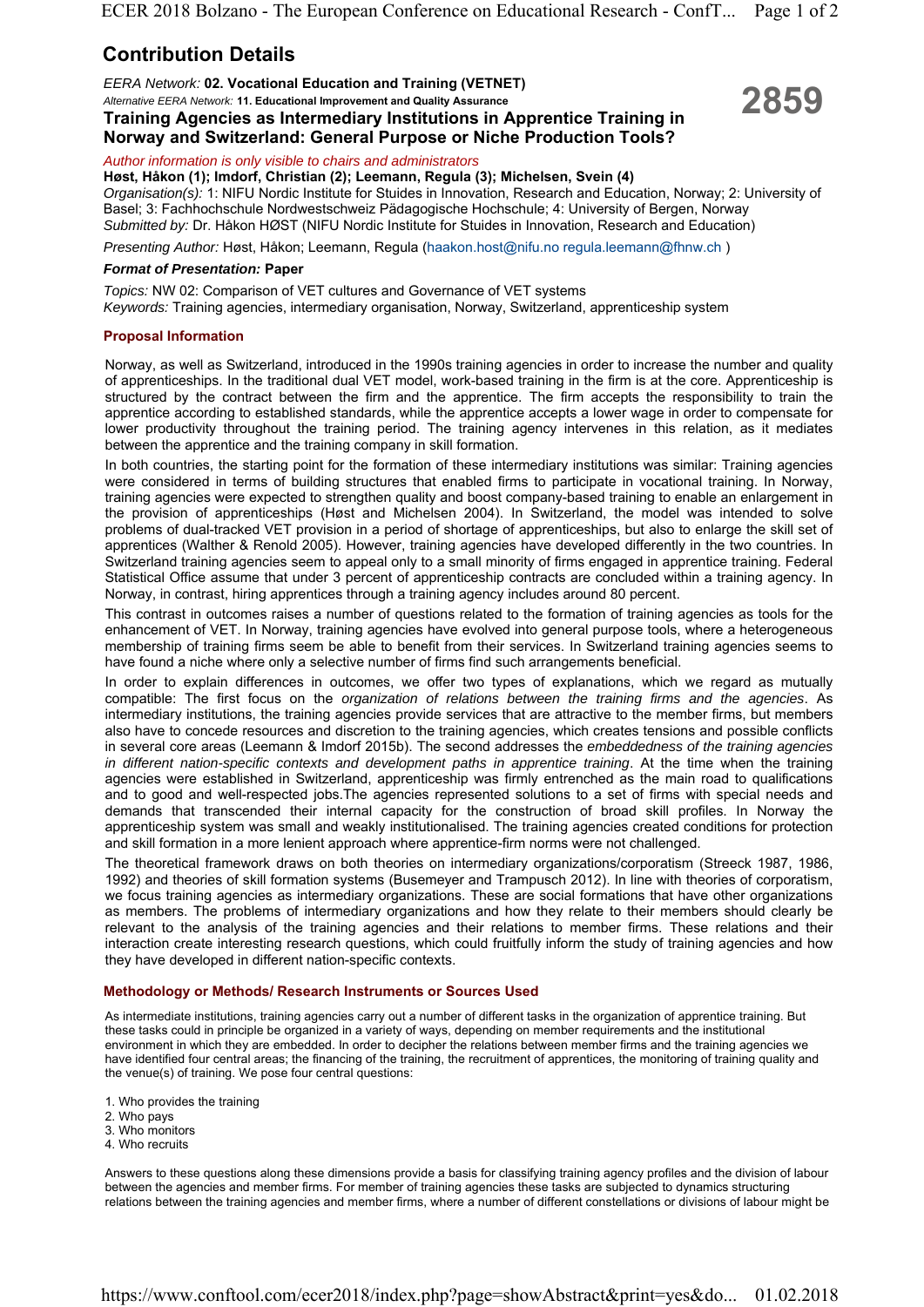# **Contribution Details**

*Alternative EERA Network:* **11. Educational Improvement and Quality Assurance**

# EERA Network: 02. Vocational Education and Training (VETNET)<br>Alternative EERA Network: 11. Educational Improvement and Quality Assurance<br>Training Agencies as Intermediary Institutions in Apprentice Training in **Norway and Switzerland: General Purpose or Niche Production Tools?**

*Author information is only visible to chairs and administrators*

**Høst, Håkon (1); Imdorf, Christian (2); Leemann, Regula (3); Michelsen, Svein (4)** *Organisation(s):* 1: NIFU Nordic Institute for Stuides in Innovation, Research and Education, Norway; 2: University of Basel; 3: Fachhochschule Nordwestschweiz Pädagogische Hochschule; 4: University of Bergen, Norway *Submitted by:* Dr. Håkon HØST (NIFU Nordic Institute for Stuides in Innovation, Research and Education)

*Presenting Author:* Høst, Håkon; Leemann, Regula (haakon.host@nifu.no regula.leemann@fhnw.ch )

## *Format of Presentation:* **Paper**

*Topics:* NW 02: Comparison of VET cultures and Governance of VET systems *Keywords:* Training agencies, intermediary organisation, Norway, Switzerland, apprenticeship system

# **Proposal Information**

Norway, as well as Switzerland, introduced in the 1990s training agencies in order to increase the number and quality of apprenticeships. In the traditional dual VET model, work-based training in the firm is at the core. Apprenticeship is structured by the contract between the firm and the apprentice. The firm accepts the responsibility to train the apprentice according to established standards, while the apprentice accepts a lower wage in order to compensate for lower productivity throughout the training period. The training agency intervenes in this relation, as it mediates between the apprentice and the training company in skill formation.

In both countries, the starting point for the formation of these intermediary institutions was similar: Training agencies were considered in terms of building structures that enabled firms to participate in vocational training. In Norway, training agencies were expected to strengthen quality and boost company-based training to enable an enlargement in the provision of apprenticeships (Høst and Michelsen 2004). In Switzerland, the model was intended to solve problems of dual-tracked VET provision in a period of shortage of apprenticeships, but also to enlarge the skill set of apprentices (Walther & Renold 2005). However, training agencies have developed differently in the two countries. In Switzerland training agencies seem to appeal only to a small minority of firms engaged in apprentice training. Federal Statistical Office assume that under 3 percent of apprenticeship contracts are concluded within a training agency. In Norway, in contrast, hiring apprentices through a training agency includes around 80 percent.

This contrast in outcomes raises a number of questions related to the formation of training agencies as tools for the enhancement of VET. In Norway, training agencies have evolved into general purpose tools, where a heterogeneous membership of training firms seem be able to benefit from their services. In Switzerland training agencies seems to have found a niche where only a selective number of firms find such arrangements beneficial.

In order to explain differences in outcomes, we offer two types of explanations, which we regard as mutually compatible: The first focus on the *organization of relations between the training firms and the agencies*. As intermediary institutions, the training agencies provide services that are attractive to the member firms, but members also have to concede resources and discretion to the training agencies, which creates tensions and possible conflicts in several core areas (Leemann & Imdorf 2015b). The second addresses the *embeddedness of the training agencies in different nation-specific contexts and development paths in apprentice training*. At the time when the training agencies were established in Switzerland, apprenticeship was firmly entrenched as the main road to qualifications and to good and well-respected jobs.The agencies represented solutions to a set of firms with special needs and demands that transcended their internal capacity for the construction of broad skill profiles. In Norway the apprenticeship system was small and weakly institutionalised. The training agencies created conditions for protection and skill formation in a more lenient approach where apprentice-firm norms were not challenged.

The theoretical framework draws on both theories on intermediary organizations/corporatism (Streeck 1987, 1986, 1992) and theories of skill formation systems (Busemeyer and Trampusch 2012). In line with theories of corporatism, we focus training agencies as intermediary organizations. These are social formations that have other organizations as members. The problems of intermediary organizations and how they relate to their members should clearly be relevant to the analysis of the training agencies and their relations to member firms. These relations and their interaction create interesting research questions, which could fruitfully inform the study of training agencies and how they have developed in different nation-specific contexts.

# **Methodology or Methods/ Research Instruments or Sources Used**

As intermediate institutions, training agencies carry out a number of different tasks in the organization of apprentice training. But these tasks could in principle be organized in a variety of ways, depending on member requirements and the institutional environment in which they are embedded. In order to decipher the relations between member firms and the training agencies we have identified four central areas; the financing of the training, the recruitment of apprentices, the monitoring of training quality and the venue(s) of training. We pose four central questions:

- 1. Who provides the training
- 2. Who pays
- 3. Who monitors
- 4. Who recruits

Answers to these questions along these dimensions provide a basis for classifying training agency profiles and the division of labour between the agencies and member firms. For member of training agencies these tasks are subjected to dynamics structuring relations between the training agencies and member firms, where a number of different constellations or divisions of labour might be